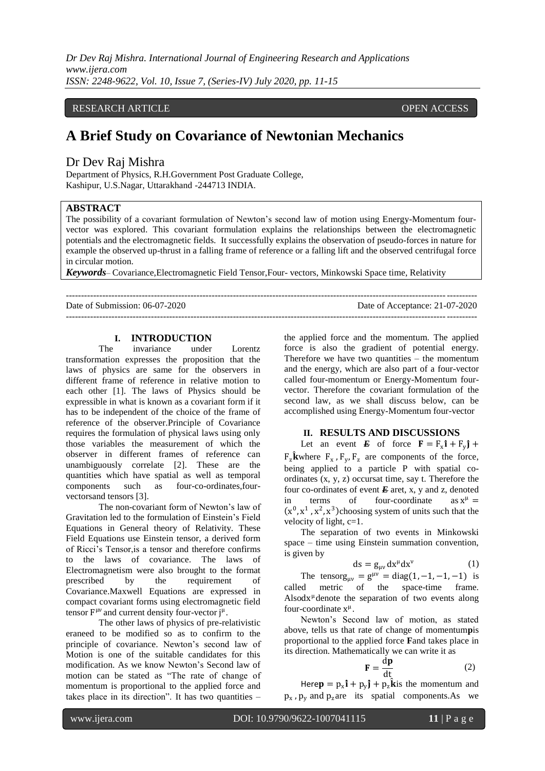*Dr Dev Raj Mishra. International Journal of Engineering Research and Applications www.ijera.com ISSN: 2248-9622, Vol. 10, Issue 7, (Series-IV) July 2020, pp. 11-15*

## RESEARCH ARTICLE **OPEN ACCESS**

# **A Brief Study on Covariance of Newtonian Mechanics**

## Dr Dev Raj Mishra

Department of Physics, R.H.Government Post Graduate College, Kashipur, U.S.Nagar, Uttarakhand -244713 INDIA.

## **ABSTRACT**

The possibility of a covariant formulation of Newton's second law of motion using Energy-Momentum fourvector was explored. This covariant formulation explains the relationships between the electromagnetic potentials and the electromagnetic fields. It successfully explains the observation of pseudo-forces in nature for example the observed up-thrust in a falling frame of reference or a falling lift and the observed centrifugal force in circular motion.

*Keywords*– Covariance,Electromagnetic Field Tensor,Four- vectors, Minkowski Space time, Relativity

--------------------------------------------------------------------------------------------------------------------------------------- Date of Submission: 06-07-2020 Date of Acceptance: 21-07-2020 ---------------------------------------------------------------------------------------------------------------------------------------

## **I. INTRODUCTION**

The invariance under Lorentz transformation expresses the proposition that the laws of physics are same for the observers in different frame of reference in relative motion to each other [1]. The laws of Physics should be expressible in what is known as a covariant form if it has to be independent of the choice of the frame of reference of the observer.Principle of Covariance requires the formulation of physical laws using only those variables the measurement of which the observer in different frames of reference can unambiguously correlate [2]. These are the quantities which have spatial as well as temporal components such as four-co-ordinates,fourvectorsand tensors [3].

The non-covariant form of Newton's law of Gravitation led to the formulation of Einstein's Field Equations in General theory of Relativity. These Field Equations use Einstein tensor, a derived form of Ricci's Tensor,is a tensor and therefore confirms to the laws of covariance. The laws of Electromagnetism were also brought to the format prescribed by the requirement of Covariance.Maxwell Equations are expressed in compact covariant forms using electromagnetic field tensor  $F^{\mu\nu}$  and current density four-vector  $j^{\mu}$ .

The other laws of physics of pre-relativistic eraneed to be modified so as to confirm to the principle of covariance. Newton's second law of Motion is one of the suitable candidates for this modification. As we know Newton's Second law of motion can be stated as "The rate of change of momentum is proportional to the applied force and takes place in its direction". It has two quantities –

the applied force and the momentum. The applied force is also the gradient of potential energy. Therefore we have two quantities  $-$  the momentum and the energy, which are also part of a four-vector called four-momentum or Energy-Momentum fourvector. Therefore the covariant formulation of the second law, as we shall discuss below, can be accomplished using Energy-Momentum four-vector

#### **II. RESULTS AND DISCUSSIONS**

Let an event *E* of force  $\mathbf{F} = \mathbf{F}_x \mathbf{\hat{i}} + \mathbf{F}_y \mathbf{\hat{j}} + \mathbf{F}_z \mathbf{\hat{k}}$  $F_z$ **k**where  $F_x$ ,  $F_y$ ,  $F_z$  are components of the force, being applied to a particle P with spatial coordinates (x, y, z) occursat time, say t. Therefore the four co-ordinates of event *E* aret, x, y and z, denoted in terms of four-coordinate as  $x^{\mu} =$  $(x^0, x^1, x^2, x^3)$ choosing system of units such that the velocity of light, c=1.

The separation of two events in Minkowski space – time using Einstein summation convention, is given by

$$
ds = g_{\mu\nu} dx^{\mu} dx^{\nu} \tag{1}
$$

The tensorg<sub>μν</sub> =  $g^{\mu\nu}$  = diag(1, -1, -1, -1) is called metric of the space-time frame. Alsodx<sup> $\mu$ </sup> denote the separation of two events along four-coordinate  $x^{\mu}$ .

Newton's Second law of motion, as stated above, tells us that rate of change of momentum**p**is proportional to the applied force **F**and takes place in its direction. Mathematically we can write it as

$$
\mathbf{F} = \frac{\mathrm{d}\mathbf{p}}{\mathrm{d}\mathbf{t}}\tag{2}
$$

Here  $\mathbf{p} = p_x \mathbf{i} + p_y \mathbf{j} + p_z \mathbf{k}$  is the momentum and  $p_x$ ,  $p_y$  and  $p_z$  are its spatial components. As we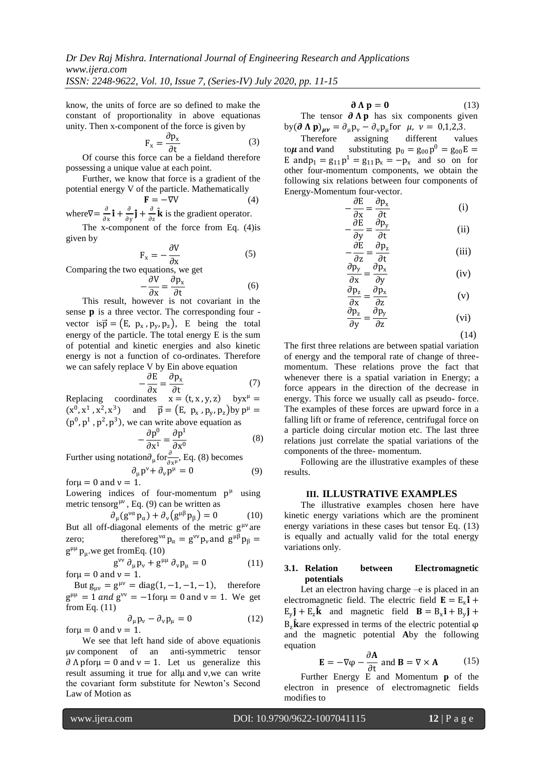*ISSN: 2248-9622, Vol. 10, Issue 7, (Series-IV) July 2020, pp. 11-15*

know, the units of force are so defined to make the constant of proportionality in above equationas unity. Then x-component of the force is given by

$$
F_x = \frac{\partial p_x}{\partial t} \tag{3}
$$

Of course this force can be a fieldand therefore possessing a unique value at each point.

Further, we know that force is a gradient of the potential energy V of the particle. Mathematically

 $\mathbf{F} = -\nabla V$  (4) where  $\nabla = \frac{\partial}{\partial x}$  $\frac{\partial}{\partial x} \mathbf{i} + \frac{\partial}{\partial y}$  $\frac{\partial}{\partial y} \hat{\mathbf{j}} + \frac{\partial}{\partial z}$  $\frac{\partial}{\partial z} \hat{\mathbf{k}}$  is the gradient operator.

The x-component of the force from Eq. [\(4\)](#page-1-0)is given by

$$
F_x = -\frac{\partial V}{\partial x} \tag{5}
$$

Comparing the two equations, we get

−

$$
\frac{\partial V}{\partial x} = \frac{\partial p_x}{\partial t} \tag{6}
$$

This result, however is not covariant in the sense  $\bf{p}$  is a three vector. The corresponding four vector is $\vec{p} = (E, p_x, p_y, p_z)$ , E being the total energy of the particle. The total energy E is the sum of potential and kinetic energies and also kinetic energy is not a function of co-ordinates. Therefore we can safely replace V by Ein above equation

$$
-\frac{\partial E}{\partial x} = \frac{\partial p_x}{\partial t} \tag{7}
$$

Replacing coordinates  $x = (t, x, y, z)$  by  $x^{\mu} =$  $(x^0, x^1, x^2, x^3)$  and  $\vec{p} = (E, p_x, p_y, p_z)$  by  $p^{\mu} =$  $(p^0, p^1, p^2, p^3)$ , we can write above equation as

$$
-\frac{\partial p^0}{\partial x^1} = \frac{\partial p^1}{\partial x^0}
$$
 (8)

Further using notation $\partial_{\mu}$ for $\frac{\partial}{\partial x^{\mu}}$ , Eq. [\(8\)](#page-1-1) becomes  $\partial_{\mu} p^{\nu} + \partial_{\nu} p^{\mu} = 0$  (9)

for  $\mu = 0$  and  $\nu = 1$ .

Lowering indices of four-momentum  $p^{\mu}$  using metric tensorg<sup>µv</sup>, Eq. [\(9\)](#page-1-2) can be written as

$$
\partial_{\mu}(g^{\nu\alpha}p_{\alpha}) + \partial_{\nu}(g^{\mu\beta}p_{\beta}) = 0 \tag{10}
$$

But all off-diagonal elements of the metric  $g^{\mu\nu}$  are zero; thereforeg<sup> $\nu\alpha$ </sup>  $p_\alpha = g^{\nu\nu} p_\nu$  and  $g^{\mu\beta} p_\beta =$  $g^{\mu\mu} p_{\mu}$  we get from Eq. [\(10\)](#page-1-3)

$$
g^{\nu\nu} \partial_{\mu} p_{\nu} + g^{\mu\mu} \partial_{\nu} p_{\mu} = 0 \qquad (11)
$$
  
for  $\mu = 0$  and  $\nu = 1$ .

But  $g_{\mu\nu} = g^{\mu\nu} = diag(1, -1, -1, -1)$ , therefore  $g^{\mu\mu} = 1$  and  $g^{\nu\nu} = -1$  for  $\mu = 0$  and  $\nu = 1$ . We get from Eq. [\(11\)](#page-1-4)

$$
\partial_{\mu}p_{\nu} - \partial_{\nu}p_{\mu} = 0 \tag{12}
$$

for  $u = 0$  and  $v = 1$ .

We see that left hand side of above equationis μν component of an anti-symmetric tensor  $\partial \Lambda$  pfor $\mu = 0$  and  $\nu = 1$ . Let us generalize this result assuming it true for allμ and ν,we can write the covariant form substitute for Newton's Second Law of Motion as

<span id="page-1-5"></span>
$$
\partial \Lambda \mathbf{p} = \mathbf{0} \tag{13}
$$

The tensor  $\partial \Lambda p$  has six components given by  $(\partial \Lambda \mathbf{p})_{\mu\nu} = \partial_{\mu} \mathbf{p}_{\nu} - \partial_{\nu} \mathbf{p}_{\mu}$  for  $\mu$ ,  $\nu = 0, 1, 2, 3$ .

<span id="page-1-0"></span>Therefore assigning different values to  $\mu$  and  $\nu$  and substituting  $p_0 = g_{00}p^0 = g_{00}E =$ E and  $p_1 = g_{11}p^1 = g_{11}p_x = -p_x$  and so on for other four-momentum components, we obtain the following six relations between four components of Energy-Momentum four-vector.

$$
-\frac{\partial E}{\partial x} = \frac{\partial p_x}{\partial t}
$$
 (i)  

$$
\frac{\partial E}{\partial E} = \frac{\partial p_y}{\partial p_y}
$$
 (ii)

$$
-\frac{dy}{dy} = \frac{dy}{dt}
$$
 (ii)  

$$
-\frac{\partial E}{\partial t} = \frac{\partial p_z}{\partial t}
$$
 (iii)

$$
\frac{\partial \mathbf{z}}{\partial \mathbf{x}} = \frac{\partial \mathbf{t}}{\partial \mathbf{y}} \tag{iv}
$$

$$
\frac{\partial \mathbf{p}_z}{\partial \mathbf{x}} = \frac{\partial \mathbf{p}_x}{\partial \mathbf{z}}
$$
(v)  

$$
\frac{\partial \mathbf{p}_z}{\partial \mathbf{p}_z} = \frac{\partial \mathbf{p}_y}{\partial \mathbf{p}_y}
$$
(vi)

<span id="page-1-6"></span>
$$
\frac{\text{(vi)}}{\text{(14)}}
$$

The first three relations are between spatial variation of energy and the temporal rate of change of threemomentum. These relations prove the fact that whenever there is a spatial variation in Energy; a force appears in the direction of the decrease in energy. This force we usually call as pseudo- force. The examples of these forces are upward force in a falling lift or frame of reference, centrifugal force on a particle doing circular motion etc. The last three relations just correlate the spatial variations of the components of the three- momentum.

∂z

∂y

<span id="page-1-2"></span><span id="page-1-1"></span>Following are the illustrative examples of these results.

#### **III. ILLUSTRATIVE EXAMPLES**

<span id="page-1-3"></span>The illustrative examples chosen here have kinetic energy variations which are the prominent energy variations in these cases but tensor Eq. [\(13\)](#page-1-5) is equally and actually valid for the total energy variations only.

#### <span id="page-1-4"></span>**3.1. Relation between Electromagnetic potentials**

Let an electron having charge –e is placed in an electromagnetic field. The electric field  $\mathbf{E} = \mathbf{E}_x \hat{\mathbf{i}} + \hat{\mathbf{E}}$  $E_y$ **j** +  $E_z$ **k** and magnetic field **B** =  $B_x$ **i** +  $B_y$ **j** +  $B_z$  kare expressed in terms of the electric potential  $\varphi$ and the magnetic potential **A**by the following equation

<span id="page-1-7"></span>
$$
\mathbf{E} = -\nabla \varphi - \frac{\partial \mathbf{A}}{\partial t} \text{ and } \mathbf{B} = \nabla \times \mathbf{A}
$$
 (15)

Further Energy E and Momentum **p** of the electron in presence of electromagnetic fields modifies to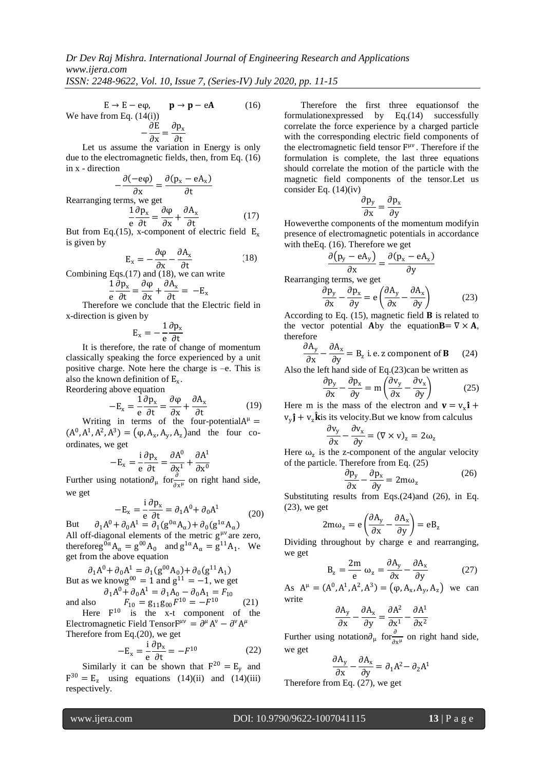$E \rightarrow E - e\varphi$ ,  $\mathbf{p} \rightarrow \mathbf{p} - e\mathbf{A}$  (16) We have from Eq.  $(14(i))$  $(14(i))$  $-\frac{\partial E}{\partial x}$  $\frac{\partial E}{\partial x} = \frac{\partial p_x}{\partial t}$ 

∂t Let us assume the variation in Energy is only due to the electromagnetic fields, then, from Eq. [\(16\)](#page-2-0) in x - direction

 $-\frac{\partial(-e\varphi)}{\partial x}$  $\frac{\partial}{\partial x}$  =  $\frac{\partial (p_x - eA_x)}{\partial t}$ ∂t Rearranging terms, we get 1 e  $\partial p_x$  $rac{\partial \rho_{x}}{\partial t} = \frac{\partial \varphi}{\partial x}$  $\frac{\partial \varphi}{\partial x} + \frac{\partial A_x}{\partial t}$ ∂t (17)

But from Eq.(15), x-component of electric field  $E_x$ is given by

$$
E_x = -\frac{\partial \varphi}{\partial x} - \frac{\partial A_x}{\partial t}
$$
 (18)

Combining Eqs.(17) and (18), we can write

$$
\frac{1}{e}\frac{\partial p_x}{\partial t} = \frac{\partial \varphi}{\partial x} + \frac{\partial A_x}{\partial t} = -E_x
$$

Therefore we conclude that the Electric field in x-direction is given by

$$
E_x = -\frac{1}{e} \frac{\partial p_x}{\partial t}
$$

It is therefore, the rate of change of momentum classically speaking the force experienced by a unit positive charge. Note here the charge is –e. This is also the known definition of  $E_x$ .

Reordering above equation

$$
-E_x = \frac{1}{e} \frac{\partial p_x}{\partial t} = \frac{\partial \varphi}{\partial x} + \frac{\partial A_x}{\partial t}
$$
(19)

Writing in terms of the four-potential $A^{\mu}$  =  $(A^0, A^1, A^2, A^3) = (\varphi, A_x, A_y, A_z)$  and the four coordinates, we get

$$
-E_x = \frac{i}{e} \frac{\partial p_x}{\partial t} = \frac{\partial A^0}{\partial x^1} + \frac{\partial A^1}{\partial x^0}
$$

Further using notation $\partial_{\mu}$  for $\frac{\partial}{\partial x^{\mu}}$  on right hand side, we get

$$
-E_x = \frac{i}{e} \frac{\partial p_x}{\partial t} = \partial_1 A^0 + \partial_0 A^1
$$
  
But  $\partial_1 A^0 + \partial_0 A^1 = \partial_1 (g^{0\alpha} A_\alpha) + \partial_0 (g^{1\alpha} A_\alpha)$  (20)

All off-diagonal elements of the metric  $g^{\mu\nu}$  are zero, therefore  $g^{0\alpha}A_{\alpha} = g^{00}A_0$  and  $g^{1\alpha}A_{\alpha} = g^{11}A_1$ . We get from the above equation

But as we knowg<sup>00</sup> = 1 and  $g^{11} = -1$ , we get  $\partial_1 A^0 + \partial_0 A^1 = \partial_1 A_0 - \partial_0 A_1 = F_{10}$  $\partial_1 A^0 + \partial_0 A^1 = \partial_1 (g^{00} A_0) + \partial_0 (g^{11} A_1)$ 

and also 
$$
F_{10} = g_{11}g_{00}F^{10} = -F^{10}
$$
 (21)  
Here  $F^{10}$  is the x-t component of the

Electromagnetic Field Tensor $F^{\mu\nu} = \partial^{\mu} A^{\nu} - \partial^{\nu} A^{\mu}$ Therefore from Eq.[\(20\)](#page-2-1), we get

$$
-E_x = \frac{i}{e} \frac{\partial p_x}{\partial t} = -F^{10}
$$
 (22)

Similarly it can be shown that  $F^{20} = E_y$  and  $F^{30} = E_z$  using equations [\(14\)](#page-1-6)(ii) and (14)(iii) respectively.

<span id="page-2-0"></span>Therefore the first three equationsof the formulationexpressed by Eq.[\(14\)](#page-1-6) successfully correlate the force experience by a charged particle with the corresponding electric field components of the electromagnetic field tensor F μν . Therefore if the formulation is complete, the last three equations should correlate the motion of the particle with the magnetic field components of the tensor.Let us consider Eq. [\(14\)](#page-1-6)(iv)

<span id="page-2-2"></span>
$$
\frac{\partial p_y}{\partial x} = \frac{\partial p_x}{\partial y}
$$

Howeverthe components of the momentum modifyin presence of electromagnetic potentials in accordance with theEq. [\(16\)](#page-2-0). Therefore we get

$$
\frac{\partial (p_y - eA_y)}{\partial x} = \frac{\partial (p_x - eA_x)}{\partial y}
$$

Rearranging terms, we get

$$
\frac{\partial \mathbf{p}_y}{\partial \mathbf{x}} - \frac{\partial \mathbf{p}_x}{\partial \mathbf{y}} = \mathbf{e} \left( \frac{\partial \mathbf{A}_y}{\partial \mathbf{x}} - \frac{\partial \mathbf{A}_x}{\partial \mathbf{y}} \right) \tag{23}
$$

According to Eq.  $(15)$ , magnetic field **B** is related to the vector potential Aby the equation  $\mathbf{B} = \nabla \times \mathbf{A}$ , therefore

$$
\frac{\partial A_y}{\partial x} - \frac{\partial A_x}{\partial y} = B_z \text{ i.e. z component of } \mathbf{B} \qquad (24)
$$

Also the left hand side of Eq.[\(23\)](#page-2-2)can be written as

<span id="page-2-4"></span>
$$
\frac{\partial \mathbf{p}_y}{\partial \mathbf{x}} - \frac{\partial \mathbf{p}_x}{\partial \mathbf{y}} = \mathbf{m} \left( \frac{\partial \mathbf{v}_y}{\partial \mathbf{x}} - \frac{\partial \mathbf{v}_x}{\partial \mathbf{y}} \right) \tag{25}
$$

Here m is the mass of the electron and  $\mathbf{v} = v_x \mathbf{\hat{i}} + \mathbf{v}$  $v_y$ **ĵ** +  $v_z$ **k**is its velocity.But we know from calculus

<span id="page-2-3"></span>
$$
\frac{\partial v_y}{\partial x} - \frac{\partial v_x}{\partial y} = (\nabla \times v)_z = 2\omega_z
$$

Here  $\omega_z$  is the z-component of the angular velocity of the particle. Therefore from Eq. [\(25\)](#page-2-3)

<span id="page-2-5"></span>
$$
\frac{\partial \mathbf{p}_y}{\partial \mathbf{x}} - \frac{\partial \mathbf{p}_x}{\partial \mathbf{y}} = 2m\omega_z \tag{26}
$$

<span id="page-2-1"></span>Substituting results from Eqs.[\(24\)](#page-2-4)and [\(26\)](#page-2-5), in Eq. [\(23\)](#page-2-2), we get

$$
2m\omega_z = e\left(\frac{\partial A_y}{\partial x} - \frac{\partial A_x}{\partial y}\right) = eB_z
$$

Dividing throughout by charge e and rearranging, we get

$$
B_z = \frac{2m}{e} \omega_z = \frac{\partial A_y}{\partial x} - \frac{\partial A_x}{\partial y}
$$
 (27)

As  $A^{\mu} = (A^0, A^1, A^2, A^3) = (\varphi, A_x, A_y, A_z)$  we can write

<span id="page-2-6"></span>
$$
\frac{\partial A_y}{\partial x} - \frac{\partial A_x}{\partial y} = \frac{\partial A^2}{\partial x^1} - \frac{\partial A^1}{\partial x^2}
$$

Further using notation $\partial_{\mu}$  for $\frac{\partial}{\partial x^{\mu}}$  on right hand side, we get

$$
\frac{\partial A_y}{\partial x} - \frac{\partial A_x}{\partial y} = \partial_1 A^2 - \partial_2 A^1
$$

Therefore from Eq.  $(27)$ , we get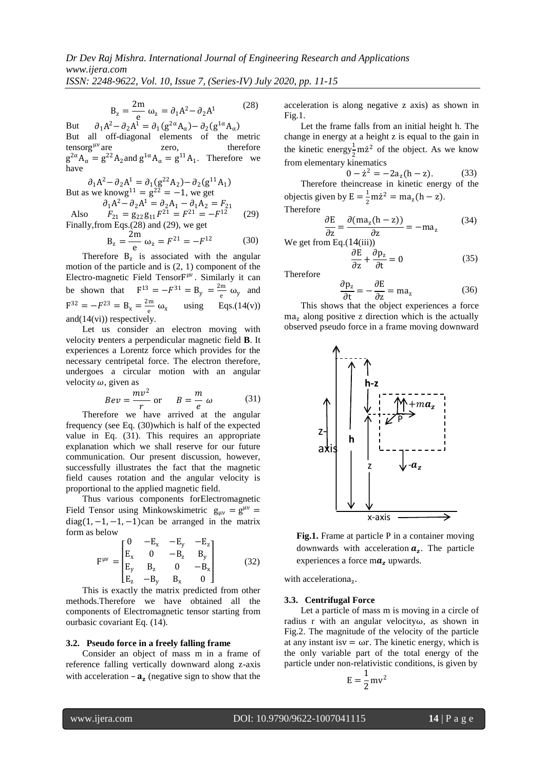$$
B_z = \frac{2m}{e} \omega_z = \partial_1 A^2 - \partial_2 A^1 \tag{28}
$$

But  $\partial_1 A^2 - \partial_2 A^1 = \partial_1 (g^{2\alpha} A_{\alpha}) - \partial_2 (g^{1\alpha} A_{\alpha})$ But all off-diagonal elements of the metric tensorg<sup>µv</sup> are  $\mu$ <sup>v</sup> are zero, therefore  $g^{2\alpha} A_{\alpha} = g^{22} A_2$  and  $g^{1\alpha} A_{\alpha} = g^{11} A_1$ . Therefore we have

$$
\partial_1 A^2 - \partial_2 A^1 = \partial_1 (g^{22} A_2) - \partial_2 (g^{11} A_1)
$$
  
But as we know  $g^{11} = g^{22} = -1$ , we get

 $\partial_1 A^2 - \partial_2 A^1 = \partial_2 A_1 - \partial_1 A_2 = F_{21}$ Also  $F_{21} = g_{22}g_{11}F^{21} = F^{21} = -F$  $(29)$ 

Finally, from Eqs.(28) and (29), we get  
\n
$$
2m \t 2m \t 2^{21} \t 2^{12}
$$

$$
B_z = \frac{2m}{e} \omega_z = F^{21} = -F^{12}
$$
 (30)  
erefore  $B_z$  is associated with the angular

 $The$ motion of the particle and is (2, 1) component of the Electro-magnetic Field TensorF<sup>µv</sup>. Similarly it can be shown that  $F^{13} = -F^{31} = B_y = \frac{2m}{g}$  $\frac{dm}{e}$  ω<sub>y</sub> and  $F^{32} = -F^{23} = B_x = \frac{2m}{a}$  $\frac{m}{e} \omega_x$  using Eqs.[\(14\(](#page-1-6)v)) and[\(14\(](#page-1-6)vi)) respectively.

Let us consider an electron moving with velocity venters a perpendicular magnetic field **B**. It experiences a Lorentz force which provides for the necessary centripetal force. The electron therefore, undergoes a circular motion with an angular velocity  $\omega$ , given as

$$
Bev = \frac{mv^2}{r} \text{ or } B = \frac{m}{e} \omega \qquad (31)
$$

Therefore we have arrived at the angular frequency (see Eq. [\(30\)](#page-3-2)which is half of the expected value in Eq. [\(31\)](#page-3-3). This requires an appropriate explanation which we shall reserve for our future communication. Our present discussion, however, successfully illustrates the fact that the magnetic field causes rotation and the angular velocity is proportional to the applied magnetic field.

Thus various components forElectromagnetic Field Tensor using Minkowskimetric  $g_{\mu\nu} = g^{\mu\nu} =$ diag $(1, -1, -1, -1)$ can be arranged in the matrix form as below

$$
F^{\mu\nu} = \begin{bmatrix} 0 & -E_x & -E_y & -E_z \\ E_x & 0 & -B_z & B_y \\ E_y & B_z & 0 & -B_x \\ E_z & -B_y & B_x & 0 \end{bmatrix}
$$
 (32)

This is exactly the matrix predicted from other methods.Therefore we have obtained all the components of Electromagnetic tensor starting from ourbasic covariant Eq. [\(14\)](#page-1-6).

#### **3.2. Pseudo force in a freely falling frame**

Consider an object of mass m in a frame of reference falling vertically downward along z-axis with acceleration  $-a_z$  (negative sign to show that the <span id="page-3-0"></span>acceleration is along negative z axis) as shown in Fig.1.

Let the frame falls from an initial height h. The change in energy at a height z is equal to the gain in the kinetic energy<sup>1</sup>/<sub>2</sub> m $\dot{z}^2$  of the object. As we know  $\frac{2}{2}$  from elementary kinematics

 $0 - \dot{z}^2 = -2a_z(h - z).$  (33)

Therefore theincrease in kinetic energy of the objectis given by  $E = \frac{1}{2}$  $\frac{1}{2}$  m $\dot{z}^2$  = ma<sub>z</sub>(h – z). Therefore

$$
\frac{\partial E}{\partial z} = \frac{\partial (m a_z (h - z))}{\partial z} = -m a_z \tag{34}
$$

<span id="page-3-2"></span><span id="page-3-1"></span>We get from Eq.([14](#page-1-6)(iii))

$$
\frac{\partial E}{\partial z} + \frac{\partial p_z}{\partial t} = 0 \tag{35}
$$

Therefore

$$
\frac{\partial \mathbf{p}_z}{\partial t} = -\frac{\partial E}{\partial z} = ma_z \tag{36}
$$

This shows that the object experiences a force  $ma<sub>z</sub>$  along positive z direction which is the actually observed pseudo force in a frame moving downward

<span id="page-3-3"></span>

**Fig.1.** Frame at particle P in a container moving downwards with acceleration  $a_z$ . The particle experiences a force  $m\mathbf{a}_r$  upwards.

with accelerationa<sub>z</sub>.

#### **3.3. Centrifugal Force**

Let a particle of mass m is moving in a circle of radius r with an angular velocityω, as shown in Fig.2. The magnitude of the velocity of the particle at any instant isy  $= \omega r$ . The kinetic energy, which is the only variable part of the total energy of the particle under non-relativistic conditions, is given by

$$
E=\frac{1}{2}\,mv^2
$$